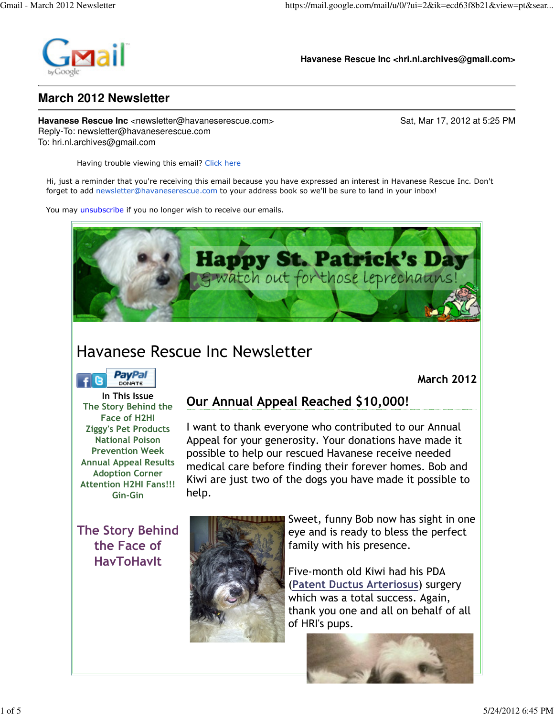

**Havanese Rescue Inc <hri.nl.archives@gmail.com>**

#### **March 2012 Newsletter**

**Havanese Rescue Inc** <newsletter@havaneserescue.com> Sat, Mar 17, 2012 at 5:25 PM Reply-To: newsletter@havaneserescue.com To: hri.nl.archives@gmail.com

Having trouble viewing this email? Click here

Hi, just a reminder that you're receiving this email because you have expressed an interest in Havanese Rescue Inc. Don't forget to add newsletter@havaneserescue.com to your address book so we'll be sure to land in your inbox!

You may unsubscribe if you no longer wish to receive our emails.



# Havanese Rescue Inc Newsletter



March 2012

In This Issue The Story Behind the Face of H2HI Ziggy's Pet Products National Poison Prevention Week Annual Appeal Results Adoption Corner Attention H2HI Fans!!! Gin-Gin

# Our Annual Appeal Reached \$10,000!

I want to thank everyone who contributed to our Annual Appeal for your generosity. Your donations have made it possible to help our rescued Havanese receive needed medical care before finding their forever homes. Bob and Kiwi are just two of the dogs you have made it possible to help.

The Story Behind the Face of HavToHavIt



Sweet, funny Bob now has sight in one eye and is ready to bless the perfect family with his presence.

Five-month old Kiwi had his PDA (Patent Ductus Arteriosus) surgery which was a total success. Again, thank you one and all on behalf of all of HRI's pups.

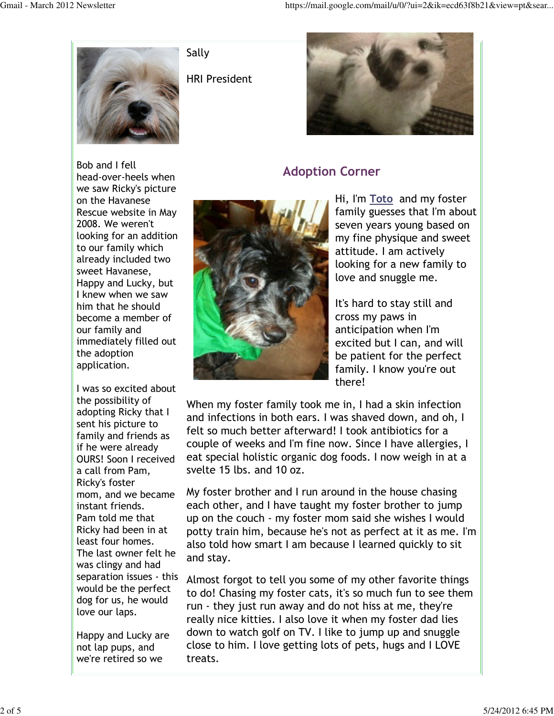

Sally

HRI President



## Adoption Corner



Hi, I'm Toto and my foster family guesses that I'm about seven years young based on my fine physique and sweet attitude. I am actively looking for a new family to love and snuggle me.

It's hard to stay still and cross my paws in anticipation when I'm excited but I can, and will be patient for the perfect family. I know you're out there!

When my foster family took me in, I had a skin infection and infections in both ears. I was shaved down, and oh, I felt so much better afterward! I took antibiotics for a couple of weeks and I'm fine now. Since I have allergies, I eat special holistic organic dog foods. I now weigh in at a svelte 15 lbs. and 10 oz.

My foster brother and I run around in the house chasing each other, and I have taught my foster brother to jump up on the couch - my foster mom said she wishes I would potty train him, because he's not as perfect at it as me. I'm also told how smart I am because I learned quickly to sit and stay.

Almost forgot to tell you some of my other favorite things to do! Chasing my foster cats, it's so much fun to see them run - they just run away and do not hiss at me, they're really nice kitties. I also love it when my foster dad lies down to watch golf on TV. I like to jump up and snuggle close to him. I love getting lots of pets, hugs and I LOVE treats.

Bob and I fell head-over-heels when we saw Ricky's picture on the Havanese Rescue website in May 2008. We weren't looking for an addition to our family which already included two sweet Havanese, Happy and Lucky, but I knew when we saw him that he should become a member of our family and immediately filled out the adoption application.

I was so excited about the possibility of adopting Ricky that I sent his picture to family and friends as if he were already OURS! Soon I received a call from Pam, Ricky's foster mom, and we became instant friends. Pam told me that Ricky had been in at least four homes. The last owner felt he was clingy and had separation issues - this would be the perfect dog for us, he would love our laps.

Happy and Lucky are not lap pups, and we're retired so we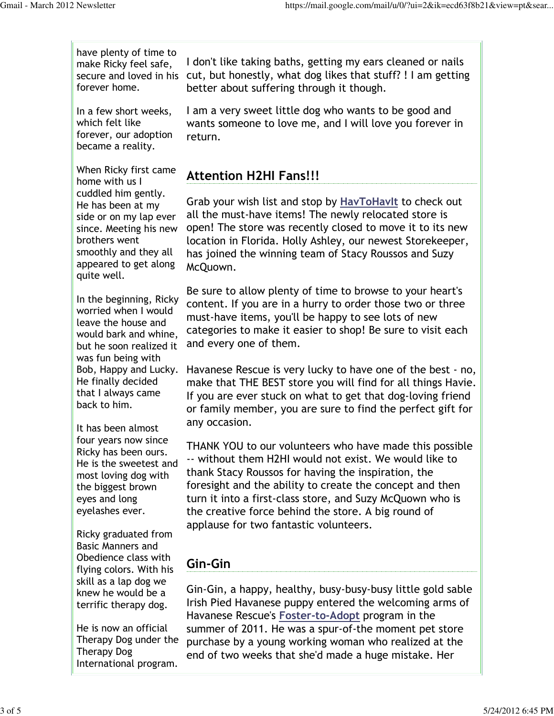have plenty of time to make Ricky feel safe, forever home.

In a few short weeks, which felt like forever, our adoption became a reality.

When Ricky first came home with us I cuddled him gently. He has been at my side or on my lap ever since. Meeting his new brothers went smoothly and they all appeared to get along quite well.

In the beginning, Ricky worried when I would leave the house and would bark and whine, but he soon realized it was fun being with Bob, Happy and Lucky. He finally decided that I always came back to him.

It has been almost four years now since Ricky has been ours. He is the sweetest and most loving dog with the biggest brown eyes and long eyelashes ever.

Ricky graduated from Basic Manners and Obedience class with flying colors. With his skill as a lap dog we knew he would be a terrific therapy dog.

He is now an official Therapy Dog under the Therapy Dog International program.

secure and loved in his cut, but honestly, what dog likes that stuff? ! I am getting I don't like taking baths, getting my ears cleaned or nails better about suffering through it though.

> I am a very sweet little dog who wants to be good and wants someone to love me, and I will love you forever in return.

### Attention H2HI Fans!!!

Grab your wish list and stop by HavToHavIt to check out all the must-have items! The newly relocated store is open! The store was recently closed to move it to its new location in Florida. Holly Ashley, our newest Storekeeper, has joined the winning team of Stacy Roussos and Suzy McQuown.

Be sure to allow plenty of time to browse to your heart's content. If you are in a hurry to order those two or three must-have items, you'll be happy to see lots of new categories to make it easier to shop! Be sure to visit each and every one of them.

Havanese Rescue is very lucky to have one of the best - no, make that THE BEST store you will find for all things Havie. If you are ever stuck on what to get that dog-loving friend or family member, you are sure to find the perfect gift for any occasion.

THANK YOU to our volunteers who have made this possible -- without them H2HI would not exist. We would like to thank Stacy Roussos for having the inspiration, the foresight and the ability to create the concept and then turn it into a first-class store, and Suzy McQuown who is the creative force behind the store. A big round of applause for two fantastic volunteers.

## Gin-Gin

Gin-Gin, a happy, healthy, busy-busy-busy little gold sable Irish Pied Havanese puppy entered the welcoming arms of Havanese Rescue's Foster-to-Adopt program in the summer of 2011. He was a spur-of-the moment pet store purchase by a young working woman who realized at the end of two weeks that she'd made a huge mistake. Her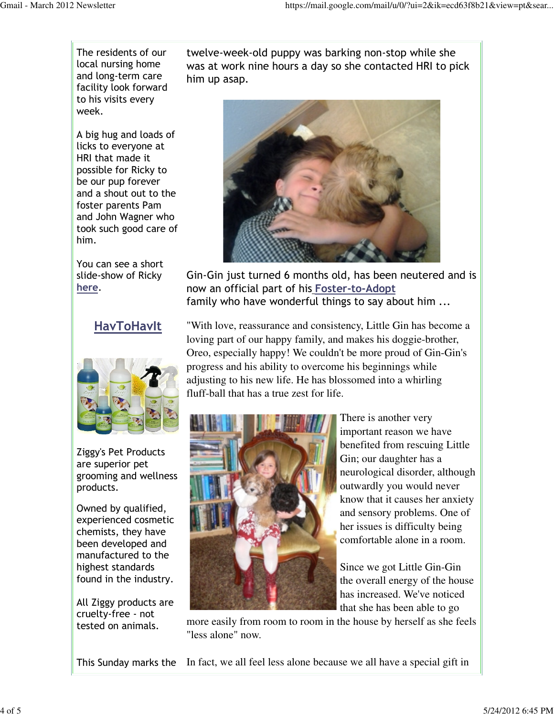The residents of our local nursing home and long-term care facility look forward to his visits every week.

A big hug and loads of licks to everyone at HRI that made it possible for Ricky to be our pup forever and a shout out to the foster parents Pam and John Wagner who took such good care of him.

You can see a short slide-show of Ricky here.

#### **HavToHavIt**



Ziggy's Pet Products are superior pet grooming and wellness products.

Owned by qualified, experienced cosmetic chemists, they have been developed and manufactured to the highest standards found in the industry.

All Ziggy products are cruelty-free - not tested on animals.

twelve-week-old puppy was barking non-stop while she was at work nine hours a day so she contacted HRI to pick him up asap.



Gin-Gin just turned 6 months old, has been neutered and is now an official part of his Foster-to-Adopt family who have wonderful things to say about him ...

"With love, reassurance and consistency, Little Gin has become a loving part of our happy family, and makes his doggie-brother, Oreo, especially happy! We couldn't be more proud of Gin-Gin's progress and his ability to overcome his beginnings while adjusting to his new life. He has blossomed into a whirling fluff-ball that has a true zest for life.



There is another very important reason we have benefited from rescuing Little Gin; our daughter has a neurological disorder, although outwardly you would never know that it causes her anxiety and sensory problems. One of her issues is difficulty being comfortable alone in a room.

Since we got Little Gin-Gin the overall energy of the house has increased. We've noticed that she has been able to go

more easily from room to room in the house by herself as she feels "less alone" now.

This Sunday marks the In fact, we all feel less alone because we all have a special gift in